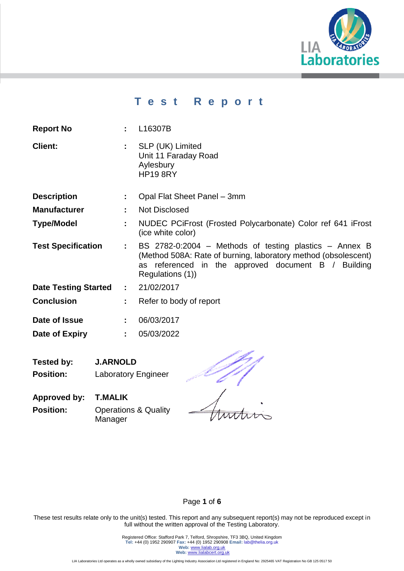

# **T e s t R e p o r t**

| <b>Report No</b> | : L16307B |  |
|------------------|-----------|--|
|                  |           |  |

- **Client: :** SLP (UK) Limited Unit 11 Faraday Road Aylesbury HP19 8RY
- **Description :** Opal Flat Sheet Panel 3mm
- **Manufacturer :** Not Disclosed
- **Type/Model :** NUDEC PCiFrost (Frosted Polycarbonate) Color ref 641 iFrost (ice white color)
- **Test Specification :** BS 2782-0:2004 Methods of testing plastics Annex B (Method 508A: Rate of burning, laboratory method (obsolescent) as referenced in the approved document B / Building Regulations (1))
- **Date Testing Started :** 21/02/2017
- **Conclusion :** Refer to body of report
- **Date of Issue :** 06/03/2017
- **Date of Expiry :** 05/03/2022
- **Tested by: J.ARNOLD Position:** Laboratory Engineer

**Approved by: T.MALIK Position: Operations & Quality** Manager

### Page **1** of **6**

These test results relate only to the unit(s) tested. This report and any subsequent report(s) may not be reproduced except in full without the written approval of the Testing Laboratory.

> Registered Office: Stafford Park 7, Telford, Shropshire, TF3 3BQ, United Kingdom **Tel:** +44 (0) 1952 290907 **Fax:** +44 (0) 1952 290908 **Email:** lab@thelia.org.uk Web: [www.lialab.org.uk](http://www.lialab.org.uk/) **Web:** www.lialabcert.org.uk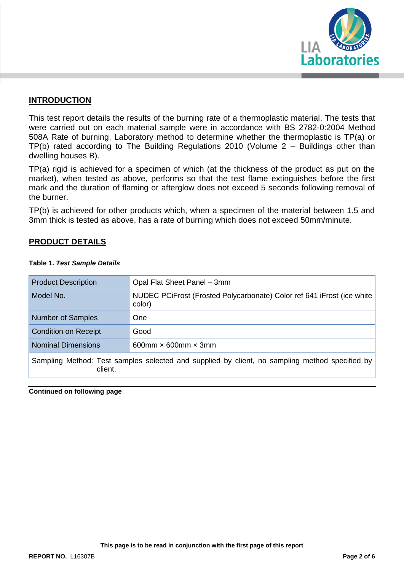

### **INTRODUCTION**

This test report details the results of the burning rate of a thermoplastic material. The tests that were carried out on each material sample were in accordance with BS 2782-0:2004 Method 508A Rate of burning, Laboratory method to determine whether the thermoplastic is TP(a) or TP(b) rated according to The Building Regulations 2010 (Volume 2 – Buildings other than dwelling houses B).

TP(a) rigid is achieved for a specimen of which (at the thickness of the product as put on the market), when tested as above, performs so that the test flame extinguishes before the first mark and the duration of flaming or afterglow does not exceed 5 seconds following removal of the burner.

TP(b) is achieved for other products which, when a specimen of the material between 1.5 and 3mm thick is tested as above, has a rate of burning which does not exceed 50mm/minute.

### **PRODUCT DETAILS**

| <b>Product Description</b>                                                                                | Opal Flat Sheet Panel - 3mm                                                      |  |  |  |
|-----------------------------------------------------------------------------------------------------------|----------------------------------------------------------------------------------|--|--|--|
| Model No.                                                                                                 | NUDEC PCIFrost (Frosted Polycarbonate) Color ref 641 iFrost (ice white<br>color) |  |  |  |
| <b>Number of Samples</b>                                                                                  | <b>One</b>                                                                       |  |  |  |
| <b>Condition on Receipt</b>                                                                               | Good                                                                             |  |  |  |
| <b>Nominal Dimensions</b>                                                                                 | 600mm $\times$ 600mm $\times$ 3mm                                                |  |  |  |
| Sampling Method: Test samples selected and supplied by client, no sampling method specified by<br>client. |                                                                                  |  |  |  |

#### **Table 1.** *Test Sample Details*

**Continued on following page**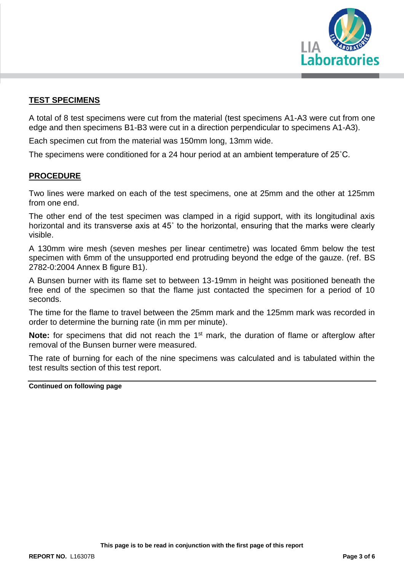

### **TEST SPECIMENS**

A total of 8 test specimens were cut from the material (test specimens A1-A3 were cut from one edge and then specimens B1-B3 were cut in a direction perpendicular to specimens A1-A3).

Each specimen cut from the material was 150mm long, 13mm wide.

The specimens were conditioned for a 24 hour period at an ambient temperature of 25˚C.

### **PROCEDURE**

Two lines were marked on each of the test specimens, one at 25mm and the other at 125mm from one end.

The other end of the test specimen was clamped in a rigid support, with its longitudinal axis horizontal and its transverse axis at 45˚ to the horizontal, ensuring that the marks were clearly visible.

A 130mm wire mesh (seven meshes per linear centimetre) was located 6mm below the test specimen with 6mm of the unsupported end protruding beyond the edge of the gauze. (ref. BS 2782-0:2004 Annex B figure B1).

A Bunsen burner with its flame set to between 13-19mm in height was positioned beneath the free end of the specimen so that the flame just contacted the specimen for a period of 10 seconds.

The time for the flame to travel between the 25mm mark and the 125mm mark was recorded in order to determine the burning rate (in mm per minute).

**Note:** for specimens that did not reach the 1<sup>st</sup> mark, the duration of flame or afterglow after removal of the Bunsen burner were measured.

The rate of burning for each of the nine specimens was calculated and is tabulated within the test results section of this test report.

**Continued on following page**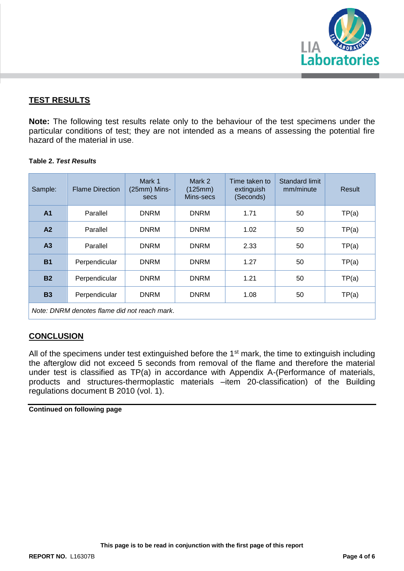

### **TEST RESULTS**

**Note:** The following test results relate only to the behaviour of the test specimens under the particular conditions of test; they are not intended as a means of assessing the potential fire hazard of the material in use.

### **Table 2.** *Test Results*

| Sample:                                      | <b>Flame Direction</b> | Mark 1<br>(25mm) Mins-<br>secs | Mark 2<br>(125mm)<br>Mins-secs | Time taken to<br>extinguish<br>(Seconds) | Standard limit<br>mm/minute | Result |  |  |
|----------------------------------------------|------------------------|--------------------------------|--------------------------------|------------------------------------------|-----------------------------|--------|--|--|
| A <sub>1</sub>                               | Parallel               | <b>DNRM</b>                    | <b>DNRM</b>                    | 1.71                                     | 50                          | TP(a)  |  |  |
| A2                                           | Parallel               | <b>DNRM</b>                    | <b>DNRM</b>                    | 1.02                                     | 50                          | TP(a)  |  |  |
| A <sub>3</sub>                               | Parallel               | <b>DNRM</b>                    | <b>DNRM</b>                    | 2.33                                     | 50                          | TP(a)  |  |  |
| <b>B1</b>                                    | Perpendicular          | <b>DNRM</b>                    | <b>DNRM</b>                    | 1.27                                     | 50                          | TP(a)  |  |  |
| <b>B2</b>                                    | Perpendicular          | <b>DNRM</b>                    | <b>DNRM</b>                    | 1.21                                     | 50                          | TP(a)  |  |  |
| <b>B3</b>                                    | Perpendicular          | <b>DNRM</b>                    | <b>DNRM</b>                    | 1.08                                     | 50                          | TP(a)  |  |  |
| Note: DNRM denotes flame did not reach mark. |                        |                                |                                |                                          |                             |        |  |  |

### **CONCLUSION**

All of the specimens under test extinguished before the 1<sup>st</sup> mark, the time to extinguish including the afterglow did not exceed 5 seconds from removal of the flame and therefore the material under test is classified as TP(a) in accordance with Appendix A-(Performance of materials, products and structures-thermoplastic materials –item 20-classification) of the Building regulations document B 2010 (vol. 1).

#### **Continued on following page**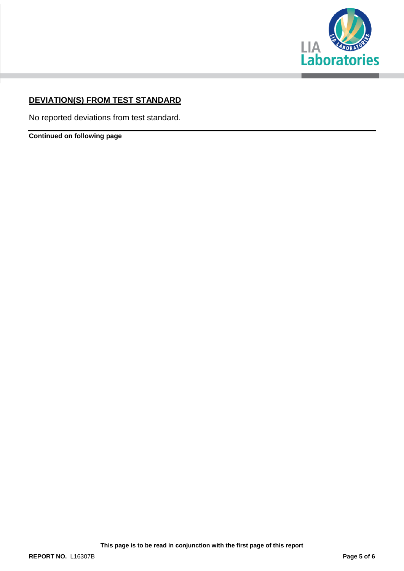

# **DEVIATION(S) FROM TEST STANDARD**

No reported deviations from test standard.

**Continued on following page**

**This page is to be read in conjunction with the first page of this report**